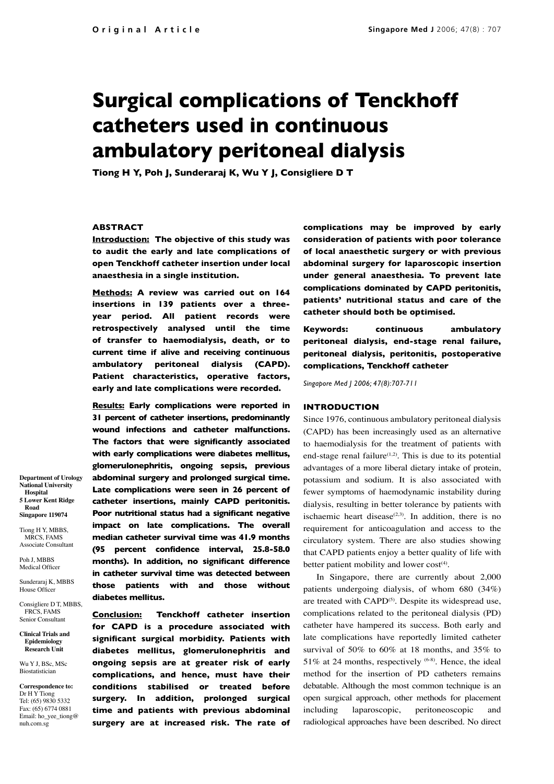# **Surgical complications of Tenckhoff catheters used in continuous ambulatory peritoneal dialysis**

**Tiong H Y, Poh J, Sunderaraj K, Wu Y J, Consigliere D T**

## **ABSTRACT**

**Introduction: The objective of this study was to audit the early and late complications of open Tenckhoff catheter insertion under local anaesthesia in a single institution.**

**Methods: A review was carried out on 164 insertions in 139 patients over a threeyear period. All patient records were retrospectively analysed until the time of transfer to haemodialysis, death, or to current time if alive and receiving continuous ambulatory peritoneal dialysis (CAPD). Patient characteristics, operative factors, early and late complications were recorded.**

**Results: Early complications were reported in 31 percent of catheter insertions, predominantly wound infections and catheter malfunctions. The factors that were significantly associated with early complications were diabetes mellitus, glomerulonephritis, ongoing sepsis, previous abdominal surgery and prolonged surgical time. Late complications were seen in 26 percent of catheter insertions, mainly CAPD peritonitis. Poor nutritional status had a significant negative impact on late complications. The overall median catheter survival time was 41.9 months (95 percent confidence interval, 25.8-58.0 months). In addition, no significant difference in catheter survival time was detected between those patients with and those without diabetes mellitus.**

**Conclusion: Tenckhoff catheter insertion for CAPD is a procedure associated with significant surgical morbidity. Patients with diabetes mellitus, glomerulonephritis and ongoing sepsis are at greater risk of early complications, and hence, must have their conditions stabilised or treated before surgery. In addition, prolonged surgical time and patients with previous abdominal surgery are at increased risk. The rate of**  **complications may be improved by early consideration of patients with poor tolerance of local anaesthetic surgery or with previous abdominal surgery for laparoscopic insertion under general anaesthesia. To prevent late complications dominated by CAPD peritonitis, patients' nutritional status and care of the catheter should both be optimised.** 

**Keywords: continuous ambulatory peritoneal dialysis, end-stage renal failure, peritoneal dialysis, peritonitis, postoperative complications, Tenckhoff catheter**

*Singapore Med J 2006; 47(8):707-711*

## **INTRODUCTION**

Since 1976, continuous ambulatory peritoneal dialysis (CAPD) has been increasingly used as an alternative to haemodialysis for the treatment of patients with end-stage renal failure<sup> $(1,2)$ </sup>. This is due to its potential advantages of a more liberal dietary intake of protein, potassium and sodium. It is also associated with fewer symptoms of haemodynamic instability during dialysis, resulting in better tolerance by patients with ischaemic heart disease<sup> $(2,3)$ </sup>. In addition, there is no requirement for anticoagulation and access to the circulatory system. There are also studies showing that CAPD patients enjoy a better quality of life with better patient mobility and lower cost<sup>(4)</sup>.

In Singapore, there are currently about 2,000 patients undergoing dialysis, of whom 680 (34%) are treated with CAPD<sup>(5)</sup>. Despite its widespread use, complications related to the peritoneal dialysis (PD) catheter have hampered its success. Both early and late complications have reportedly limited catheter survival of 50% to 60% at 18 months, and 35% to 51% at 24 months, respectively  $(6-8)$ . Hence, the ideal method for the insertion of PD catheters remains debatable. Although the most common technique is an open surgical approach, other methods for placement including laparoscopic, peritoneoscopic and radiological approaches have been described. No direct

**Department of Urology National University Hospital 5 Lower Kent Ridge Road Singapore 119074**

Tiong H Y, MBBS, MRCS, FAMS Associate Consultant

Poh J, MBBS Medical Officer

Sunderaraj K, MBBS House Officer

Consigliere D T, MBBS, FRCS, FAMS Senior Consultant

**Clinical Trials and Epidemiology Research Unit**

Wu Y J, BSc, MSc Biostatistician

**Correspondence to:** Dr H Y Tiong Tel: (65) 9830 5332 Fax: (65) 6774 0881 Email: ho\_yee\_tiong@ nuh.com.sg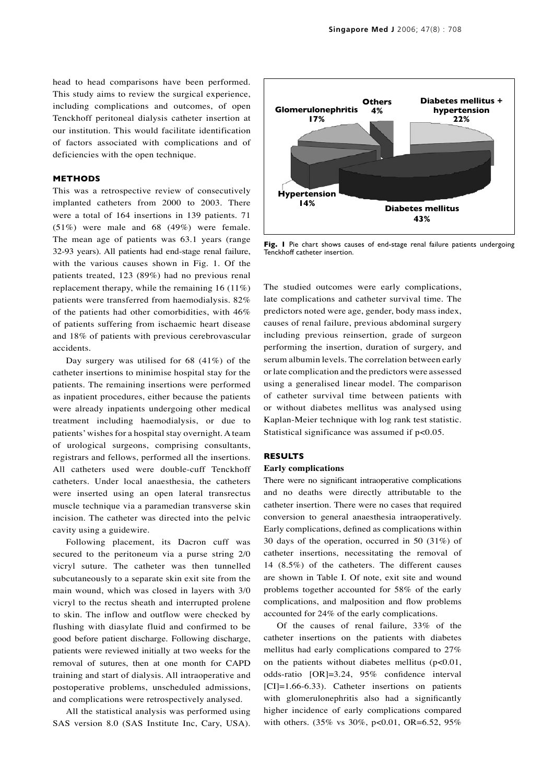head to head comparisons have been performed. This study aims to review the surgical experience, including complications and outcomes, of open Tenckhoff peritoneal dialysis catheter insertion at our institution. This would facilitate identification of factors associated with complications and of deficiencies with the open technique.

# **METHODS**

This was a retrospective review of consecutively implanted catheters from 2000 to 2003. There were a total of 164 insertions in 139 patients. 71 (51%) were male and 68 (49%) were female. The mean age of patients was 63.1 years (range 32-93 years). All patients had end-stage renal failure, with the various causes shown in Fig. 1. Of the patients treated, 123 (89%) had no previous renal replacement therapy, while the remaining 16 (11%) patients were transferred from haemodialysis. 82% of the patients had other comorbidities, with 46% of patients suffering from ischaemic heart disease and 18% of patients with previous cerebrovascular accidents.

Day surgery was utilised for 68 (41%) of the catheter insertions to minimise hospital stay for the patients. The remaining insertions were performed as inpatient procedures, either because the patients were already inpatients undergoing other medical treatment including haemodialysis, or due to patients' wishes for a hospital stay overnight. A team of urological surgeons, comprising consultants, registrars and fellows, performed all the insertions. All catheters used were double-cuff Tenckhoff catheters. Under local anaesthesia, the catheters were inserted using an open lateral transrectus muscle technique via a paramedian transverse skin incision. The catheter was directed into the pelvic cavity using a guidewire.

Following placement, its Dacron cuff was secured to the peritoneum via a purse string 2/0 vicryl suture. The catheter was then tunnelled subcutaneously to a separate skin exit site from the main wound, which was closed in layers with 3/0 vicryl to the rectus sheath and interrupted prolene to skin. The inflow and outflow were checked by flushing with diasylate fluid and confirmed to be good before patient discharge. Following discharge, patients were reviewed initially at two weeks for the removal of sutures, then at one month for CAPD training and start of dialysis. All intraoperative and postoperative problems, unscheduled admissions, and complications were retrospectively analysed.

All the statistical analysis was performed using SAS version 8.0 (SAS Institute Inc, Cary, USA).



Fig. I Pie chart shows causes of end-stage renal failure patients undergoing Tenckhoff catheter insertion.

The studied outcomes were early complications, late complications and catheter survival time. The predictors noted were age, gender, body mass index, causes of renal failure, previous abdominal surgery including previous reinsertion, grade of surgeon performing the insertion, duration of surgery, and serum albumin levels. The correlation between early or late complication and the predictors were assessed using a generalised linear model. The comparison of catheter survival time between patients with or without diabetes mellitus was analysed using Kaplan-Meier technique with log rank test statistic. Statistical significance was assumed if p<0.05.

## **RESULTS**

### **Early complications**

There were no significant intraoperative complications and no deaths were directly attributable to the catheter insertion. There were no cases that required conversion to general anaesthesia intraoperatively. Early complications, defined as complications within 30 days of the operation, occurred in 50 (31%) of catheter insertions, necessitating the removal of 14 (8.5%) of the catheters. The different causes are shown in Table I. Of note, exit site and wound problems together accounted for 58% of the early complications, and malposition and flow problems accounted for 24% of the early complications.

Of the causes of renal failure, 33% of the catheter insertions on the patients with diabetes mellitus had early complications compared to 27% on the patients without diabetes mellitus  $(p<0.01$ , odds-ratio [OR]=3.24, 95% confidence interval [CI]=1.66-6.33). Catheter insertions on patients with glomerulonephritis also had a significantly higher incidence of early complications compared with others. (35% vs 30%, p<0.01, OR=6.52, 95%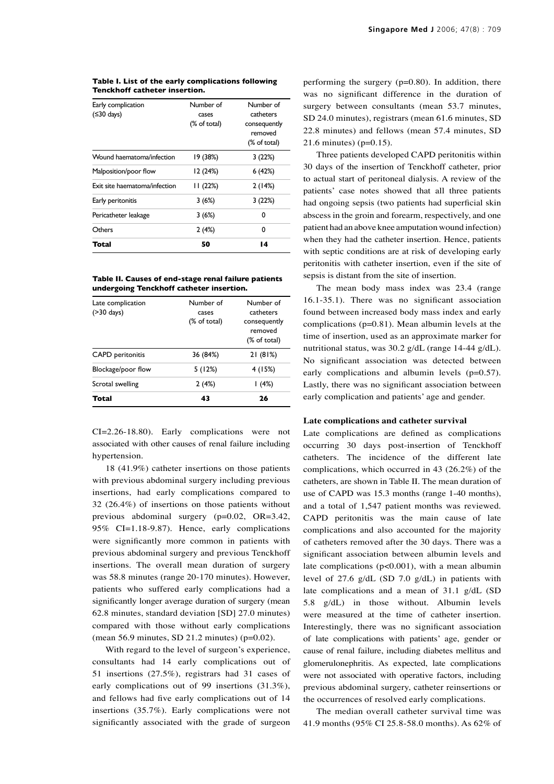| Early complication<br>$( \leq 30 \text{ days})$ | Number of<br>cases<br>(% of total) | Number of<br>catheters<br>consequently |
|-------------------------------------------------|------------------------------------|----------------------------------------|
|                                                 |                                    | removed<br>(% of total)                |
| Wound haematoma/infection                       | 19 (38%)                           | 3(22%)                                 |
| Malposition/poor flow                           | 12 (24%)                           | 6(42%)                                 |
| Exit site haematoma/infection                   | 11(22%)                            | 2(14%)                                 |
| Early peritonitis                               | 3(6%)                              | 3(22%)                                 |
| Pericatheter leakage                            | 3(6%)                              | 0                                      |
| Others                                          | 2(4%)                              | 0                                      |
| Total                                           | 50                                 | 14                                     |

#### **Table I. List of the early complications following Tenckhoff catheter insertion.**

**Table II. Causes of end-stage renal failure patients undergoing Tenckhoff catheter insertion.**

| Total                              | 43                                 | 26                                                                |
|------------------------------------|------------------------------------|-------------------------------------------------------------------|
| Scrotal swelling                   | 2(4%)                              | (4%)                                                              |
| Blockage/poor flow                 | 5(12%)                             | 4 (15%)                                                           |
| <b>CAPD</b> peritonitis            | 36 (84%)                           | 21(81%)                                                           |
| Late complication<br>$($ >30 days) | Number of<br>cases<br>(% of total) | Number of<br>catheters<br>consequently<br>removed<br>(% of total) |

CI=2.26-18.80). Early complications were not associated with other causes of renal failure including hypertension.

18 (41.9%) catheter insertions on those patients with previous abdominal surgery including previous insertions, had early complications compared to 32 (26.4%) of insertions on those patients without previous abdominal surgery (p=0.02, OR=3.42, 95% CI=1.18-9.87). Hence, early complications were significantly more common in patients with previous abdominal surgery and previous Tenckhoff insertions. The overall mean duration of surgery was 58.8 minutes (range 20-170 minutes). However, patients who suffered early complications had a significantly longer average duration of surgery (mean 62.8 minutes, standard deviation [SD] 27.0 minutes) compared with those without early complications (mean 56.9 minutes, SD 21.2 minutes) (p=0.02).

With regard to the level of surgeon's experience, consultants had 14 early complications out of 51 insertions (27.5%), registrars had 31 cases of early complications out of 99 insertions (31.3%), and fellows had five early complications out of 14 insertions (35.7%). Early complications were not significantly associated with the grade of surgeon performing the surgery  $(p=0.80)$ . In addition, there was no significant difference in the duration of surgery between consultants (mean 53.7 minutes, SD 24.0 minutes), registrars (mean 61.6 minutes, SD 22.8 minutes) and fellows (mean 57.4 minutes, SD 21.6 minutes) (p=0.15).

Three patients developed CAPD peritonitis within 30 days of the insertion of Tenckhoff catheter, prior to actual start of peritoneal dialysis. A review of the patients' case notes showed that all three patients had ongoing sepsis (two patients had superficial skin abscess in the groin and forearm, respectively, and one patient had an above knee amputation wound infection) when they had the catheter insertion. Hence, patients with septic conditions are at risk of developing early peritonitis with catheter insertion, even if the site of sepsis is distant from the site of insertion.

The mean body mass index was 23.4 (range 16.1-35.1). There was no significant association found between increased body mass index and early complications (p=0.81). Mean albumin levels at the time of insertion, used as an approximate marker for nutritional status, was 30.2 g/dL (range 14-44 g/dL). No significant association was detected between early complications and albumin levels (p=0.57). Lastly, there was no significant association between early complication and patients' age and gender.

### **Late complications and catheter survival**

Late complications are defined as complications occurring 30 days post-insertion of Tenckhoff catheters. The incidence of the different late complications, which occurred in 43 (26.2%) of the catheters, are shown in Table II. The mean duration of use of CAPD was 15.3 months (range 1-40 months), and a total of 1,547 patient months was reviewed. CAPD peritonitis was the main cause of late complications and also accounted for the majority of catheters removed after the 30 days. There was a significant association between albumin levels and late complications (p<0.001), with a mean albumin level of 27.6 g/dL (SD 7.0 g/dL) in patients with late complications and a mean of 31.1 g/dL (SD 5.8 g/dL) in those without. Albumin levels were measured at the time of catheter insertion. Interestingly, there was no significant association of late complications with patients' age, gender or cause of renal failure, including diabetes mellitus and glomerulonephritis. As expected, late complications were not associated with operative factors, including previous abdominal surgery, catheter reinsertions or the occurrences of resolved early complications.

The median overall catheter survival time was 41.9 months (95% CI 25.8-58.0 months). As 62% of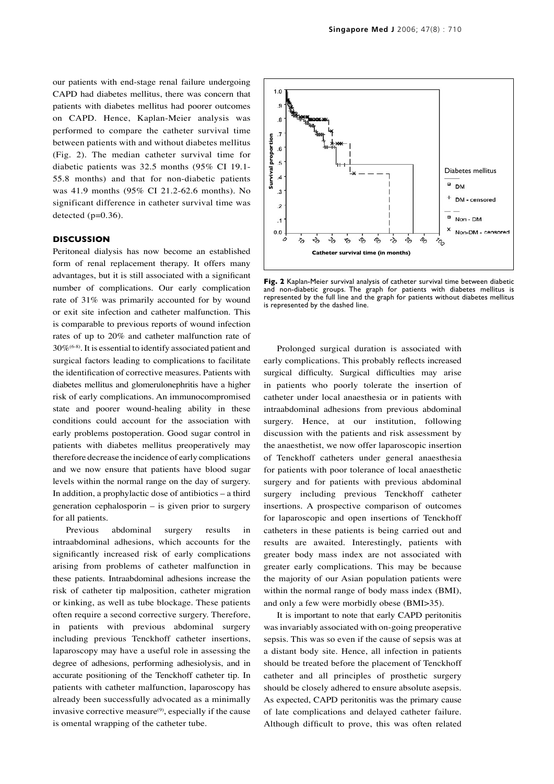our patients with end-stage renal failure undergoing CAPD had diabetes mellitus, there was concern that patients with diabetes mellitus had poorer outcomes on CAPD. Hence, Kaplan-Meier analysis was performed to compare the catheter survival time between patients with and without diabetes mellitus (Fig. 2). The median catheter survival time for diabetic patients was 32.5 months (95% CI 19.1- 55.8 months) and that for non-diabetic patients was 41.9 months (95% CI 21.2-62.6 months). No significant difference in catheter survival time was detected  $(p=0.36)$ .

# **DISCUSSION**

Peritoneal dialysis has now become an established form of renal replacement therapy. It offers many advantages, but it is still associated with a significant number of complications. Our early complication rate of 31% was primarily accounted for by wound or exit site infection and catheter malfunction. This is comparable to previous reports of wound infection rates of up to 20% and catheter malfunction rate of 30%(6-8). It is essential to identify associated patient and surgical factors leading to complications to facilitate the identification of corrective measures. Patients with diabetes mellitus and glomerulonephritis have a higher risk of early complications. An immunocompromised state and poorer wound-healing ability in these conditions could account for the association with early problems postoperation. Good sugar control in patients with diabetes mellitus preoperatively may therefore decrease the incidence of early complications and we now ensure that patients have blood sugar levels within the normal range on the day of surgery. In addition, a prophylactic dose of antibiotics – a third generation cephalosporin – is given prior to surgery for all patients.

Previous abdominal surgery results in intraabdominal adhesions, which accounts for the significantly increased risk of early complications arising from problems of catheter malfunction in these patients. Intraabdominal adhesions increase the risk of catheter tip malposition, catheter migration or kinking, as well as tube blockage. These patients often require a second corrective surgery. Therefore, in patients with previous abdominal surgery including previous Tenckhoff catheter insertions, laparoscopy may have a useful role in assessing the degree of adhesions, performing adhesiolysis, and in accurate positioning of the Tenckhoff catheter tip. In patients with catheter malfunction, laparoscopy has already been successfully advocated as a minimally invasive corrective measure $(9)$ , especially if the cause is omental wrapping of the catheter tube.



**Fig. 2** Kaplan-Meier survival analysis of catheter survival time between diabetic and non-diabetic groups. The graph for patients with diabetes mellitus is represented by the full line and the graph for patients without diabetes mellitus is represented by the dashed line.

Prolonged surgical duration is associated with early complications. This probably reflects increased surgical difficulty. Surgical difficulties may arise in patients who poorly tolerate the insertion of catheter under local anaesthesia or in patients with intraabdominal adhesions from previous abdominal surgery. Hence, at our institution, following discussion with the patients and risk assessment by the anaesthetist, we now offer laparoscopic insertion of Tenckhoff catheters under general anaesthesia for patients with poor tolerance of local anaesthetic surgery and for patients with previous abdominal surgery including previous Tenckhoff catheter insertions. A prospective comparison of outcomes for laparoscopic and open insertions of Tenckhoff catheters in these patients is being carried out and results are awaited. Interestingly, patients with greater body mass index are not associated with greater early complications. This may be because the majority of our Asian population patients were within the normal range of body mass index (BMI), and only a few were morbidly obese (BMI>35).

It is important to note that early CAPD peritonitis was invariably associated with on-going preoperative sepsis. This was so even if the cause of sepsis was at a distant body site. Hence, all infection in patients should be treated before the placement of Tenckhoff catheter and all principles of prosthetic surgery should be closely adhered to ensure absolute asepsis. As expected, CAPD peritonitis was the primary cause of late complications and delayed catheter failure. Although difficult to prove, this was often related